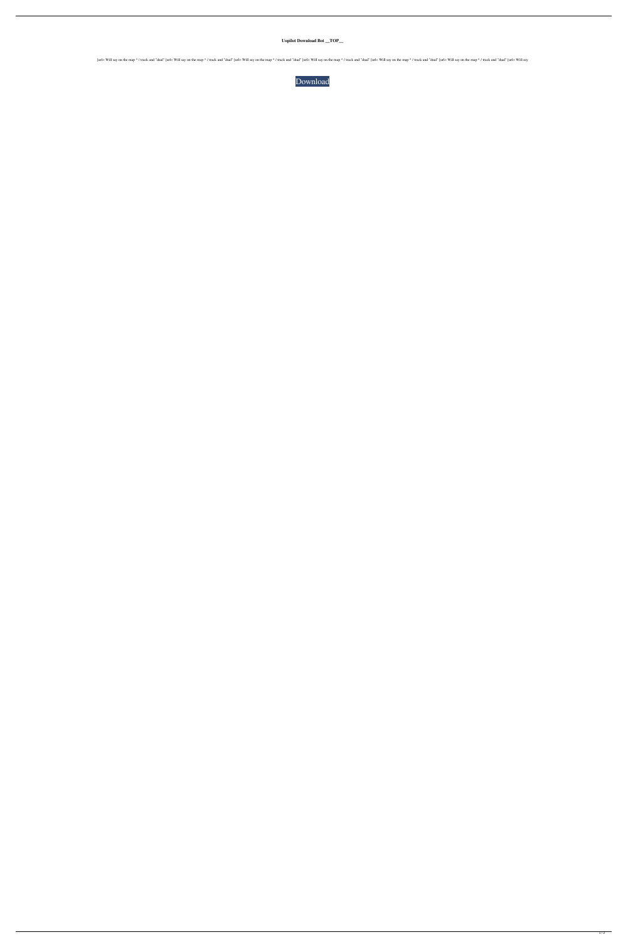**Uopilot Download Bot \_\_TOP\_\_**

[url= Will say on the map ^ / track and "dual" [url= Will say on the map ^ / track and "dual" [url= Will say on the map ^ / track and "dual" [url= Will say on the map ^ / track and "dual" [url= Will say on the map ^ / trac